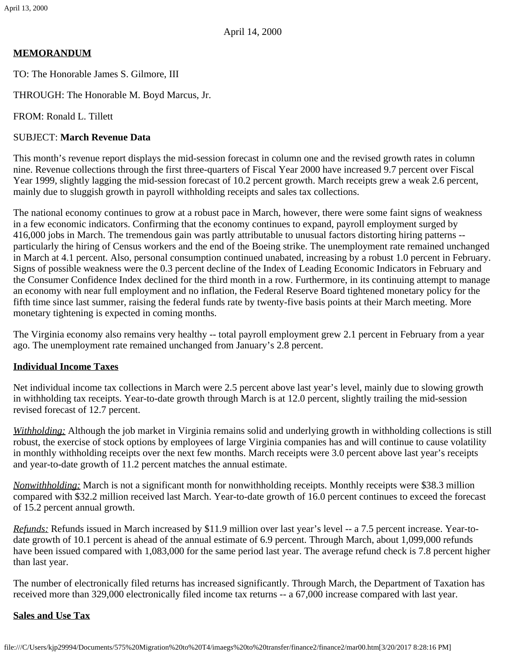# **MEMORANDUM**

TO: The Honorable James S. Gilmore, III

THROUGH: The Honorable M. Boyd Marcus, Jr.

FROM: Ronald L. Tillett

# SUBJECT: **March Revenue Data**

This month's revenue report displays the mid-session forecast in column one and the revised growth rates in column nine. Revenue collections through the first three-quarters of Fiscal Year 2000 have increased 9.7 percent over Fiscal Year 1999, slightly lagging the mid-session forecast of 10.2 percent growth. March receipts grew a weak 2.6 percent, mainly due to sluggish growth in payroll withholding receipts and sales tax collections.

The national economy continues to grow at a robust pace in March, however, there were some faint signs of weakness in a few economic indicators. Confirming that the economy continues to expand, payroll employment surged by 416,000 jobs in March. The tremendous gain was partly attributable to unusual factors distorting hiring patterns - particularly the hiring of Census workers and the end of the Boeing strike. The unemployment rate remained unchanged in March at 4.1 percent. Also, personal consumption continued unabated, increasing by a robust 1.0 percent in February. Signs of possible weakness were the 0.3 percent decline of the Index of Leading Economic Indicators in February and the Consumer Confidence Index declined for the third month in a row. Furthermore, in its continuing attempt to manage an economy with near full employment and no inflation, the Federal Reserve Board tightened monetary policy for the fifth time since last summer, raising the federal funds rate by twenty-five basis points at their March meeting. More monetary tightening is expected in coming months.

The Virginia economy also remains very healthy -- total payroll employment grew 2.1 percent in February from a year ago. The unemployment rate remained unchanged from January's 2.8 percent.

# **Individual Income Taxes**

Net individual income tax collections in March were 2.5 percent above last year's level, mainly due to slowing growth in withholding tax receipts. Year-to-date growth through March is at 12.0 percent, slightly trailing the mid-session revised forecast of 12.7 percent.

*Withholding:* Although the job market in Virginia remains solid and underlying growth in withholding collections is still robust, the exercise of stock options by employees of large Virginia companies has and will continue to cause volatility in monthly withholding receipts over the next few months. March receipts were 3.0 percent above last year's receipts and year-to-date growth of 11.2 percent matches the annual estimate.

*Nonwithholding:* March is not a significant month for nonwithholding receipts. Monthly receipts were \$38.3 million compared with \$32.2 million received last March. Year-to-date growth of 16.0 percent continues to exceed the forecast of 15.2 percent annual growth.

*Refunds:* Refunds issued in March increased by \$11.9 million over last year's level -- a 7.5 percent increase. Year-todate growth of 10.1 percent is ahead of the annual estimate of 6.9 percent. Through March, about 1,099,000 refunds have been issued compared with 1,083,000 for the same period last year. The average refund check is 7.8 percent higher than last year.

The number of electronically filed returns has increased significantly. Through March, the Department of Taxation has received more than 329,000 electronically filed income tax returns -- a 67,000 increase compared with last year.

# **Sales and Use Tax**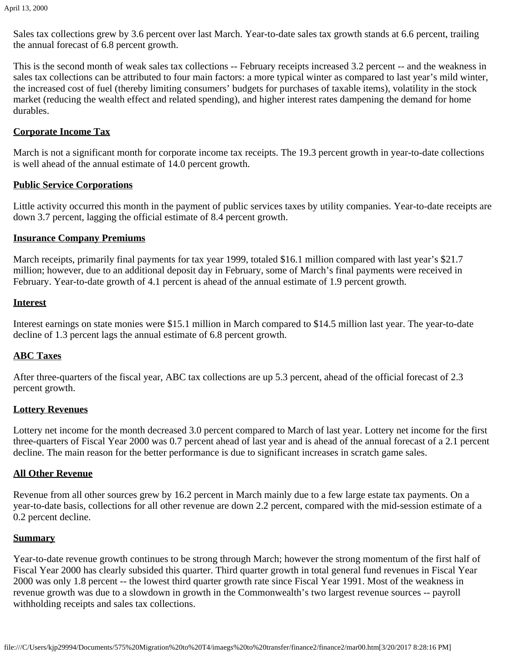Sales tax collections grew by 3.6 percent over last March. Year-to-date sales tax growth stands at 6.6 percent, trailing the annual forecast of 6.8 percent growth.

This is the second month of weak sales tax collections -- February receipts increased 3.2 percent -- and the weakness in sales tax collections can be attributed to four main factors: a more typical winter as compared to last year's mild winter, the increased cost of fuel (thereby limiting consumers' budgets for purchases of taxable items), volatility in the stock market (reducing the wealth effect and related spending), and higher interest rates dampening the demand for home durables.

### **Corporate Income Tax**

March is not a significant month for corporate income tax receipts. The 19.3 percent growth in year-to-date collections is well ahead of the annual estimate of 14.0 percent growth.

### **Public Service Corporations**

Little activity occurred this month in the payment of public services taxes by utility companies. Year-to-date receipts are down 3.7 percent, lagging the official estimate of 8.4 percent growth.

### **Insurance Company Premiums**

March receipts, primarily final payments for tax year 1999, totaled \$16.1 million compared with last year's \$21.7 million; however, due to an additional deposit day in February, some of March's final payments were received in February. Year-to-date growth of 4.1 percent is ahead of the annual estimate of 1.9 percent growth.

#### **Interest**

Interest earnings on state monies were \$15.1 million in March compared to \$14.5 million last year. The year-to-date decline of 1.3 percent lags the annual estimate of 6.8 percent growth.

### **ABC Taxes**

After three-quarters of the fiscal year, ABC tax collections are up 5.3 percent, ahead of the official forecast of 2.3 percent growth.

### **Lottery Revenues**

Lottery net income for the month decreased 3.0 percent compared to March of last year. Lottery net income for the first three-quarters of Fiscal Year 2000 was 0.7 percent ahead of last year and is ahead of the annual forecast of a 2.1 percent decline. The main reason for the better performance is due to significant increases in scratch game sales.

### **All Other Revenue**

Revenue from all other sources grew by 16.2 percent in March mainly due to a few large estate tax payments. On a year-to-date basis, collections for all other revenue are down 2.2 percent, compared with the mid-session estimate of a 0.2 percent decline.

#### **Summary**

Year-to-date revenue growth continues to be strong through March; however the strong momentum of the first half of Fiscal Year 2000 has clearly subsided this quarter. Third quarter growth in total general fund revenues in Fiscal Year 2000 was only 1.8 percent -- the lowest third quarter growth rate since Fiscal Year 1991. Most of the weakness in revenue growth was due to a slowdown in growth in the Commonwealth's two largest revenue sources -- payroll withholding receipts and sales tax collections.